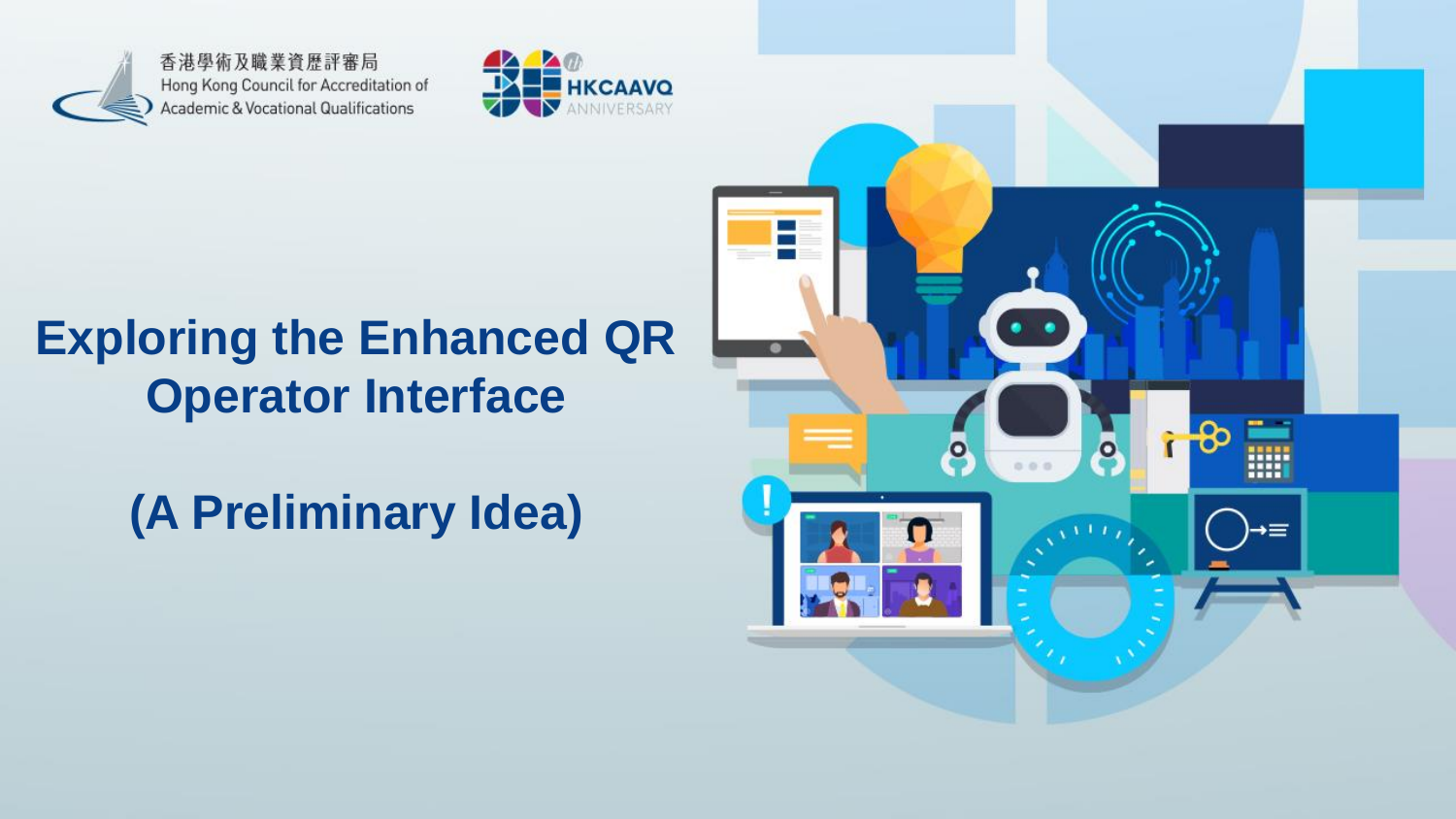香港學術及職業資歷評審局 Hong Kong Council for Accreditation of Academic & Vocational Qualifications



#### **Exploring the Enhanced QR Operator Interface**

**(A Preliminary Idea)**

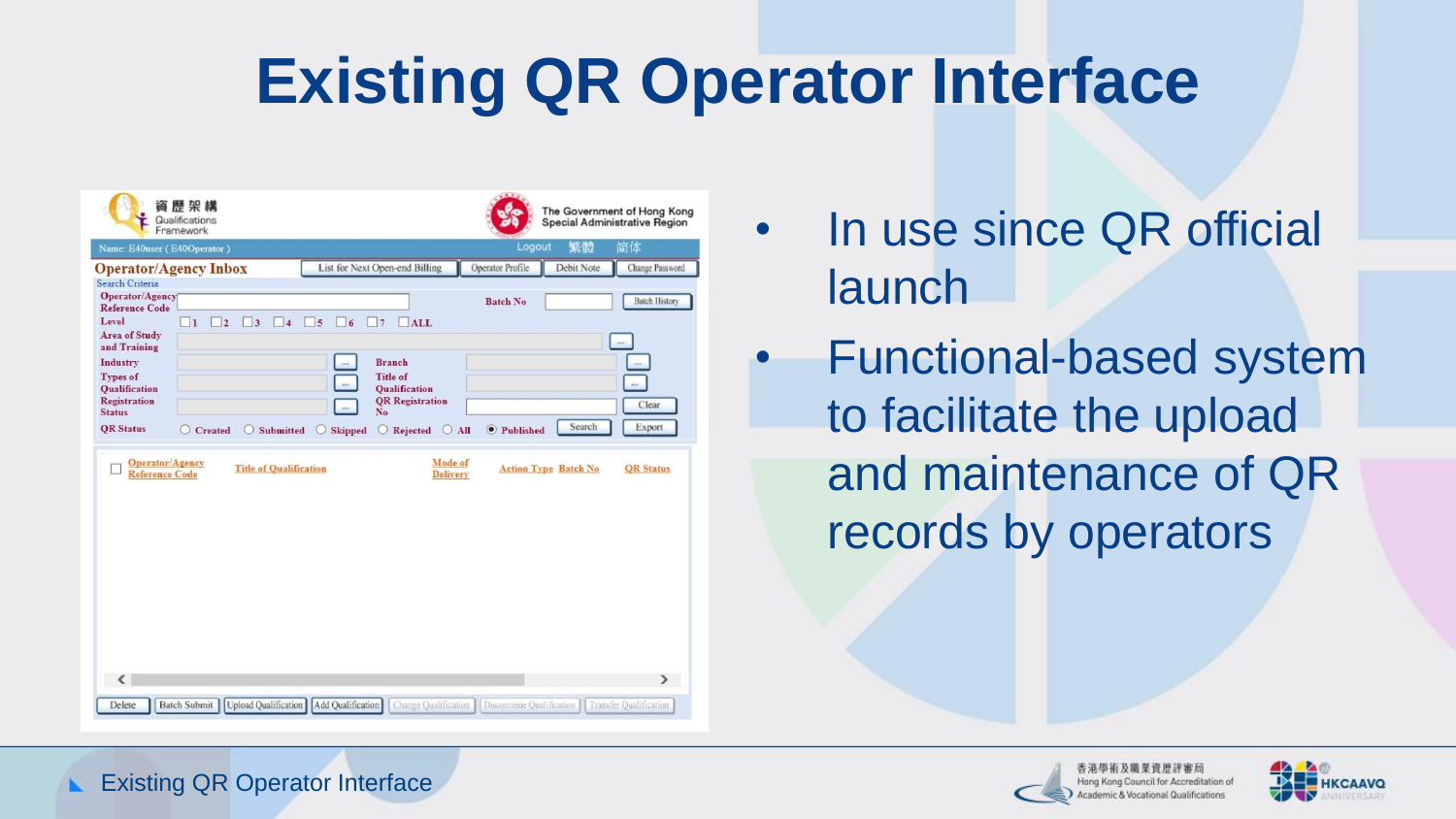## **Existing QR Operator Interface**

| Name: E40user (E40Operator)                                                                                                                                                                                       |                                                                     |                                                                                                             |                                                                                                                                      | Logout                                    | 繁體                          | 简体                                                                          |
|-------------------------------------------------------------------------------------------------------------------------------------------------------------------------------------------------------------------|---------------------------------------------------------------------|-------------------------------------------------------------------------------------------------------------|--------------------------------------------------------------------------------------------------------------------------------------|-------------------------------------------|-----------------------------|-----------------------------------------------------------------------------|
|                                                                                                                                                                                                                   | <b>Operator/Agency Inbox</b>                                        |                                                                                                             | List for Next Open-end Billing                                                                                                       | Operator Profile                          | Debit Note                  | Change Password                                                             |
| Search Criteria<br>Operator/Agency<br><b>Reference Code</b><br>Level<br>Area of Study<br>and Training<br>Industry<br><b>Types of</b><br><b>Oualification</b><br>Registration<br><b>Status</b><br><b>QR</b> Status | $\overline{1}$<br>$\vert$ <sub>2</sub><br>$\overline{3}$<br>Created | $\vert$ 4<br>5<br>$\overline{6}$<br>$\cdots$<br>114<br>$\cdots$<br>Submitted<br>Skipped<br>$\left( \right)$ | 7<br>$\Box$ ALL<br><b>Branch</b><br><b>Title of</b><br><b>Oualification</b><br><b>QR</b> Registration<br>No<br>O Rejected<br>$O$ All | <b>Batch No</b><br><sup>O</sup> Published | Search                      | <b>Batch History</b><br>$\cdots$<br>$\cdots$<br>$\cdots$<br>Clear<br>Export |
|                                                                                                                                                                                                                   |                                                                     |                                                                                                             |                                                                                                                                      |                                           |                             |                                                                             |
| Operator/Agency<br><b>Reference Code</b>                                                                                                                                                                          |                                                                     | <b>Title of Qualification</b>                                                                               | <b>Mode of</b><br><b>Delivery</b>                                                                                                    |                                           | <b>Action Type Batch No</b> | <b>OR Status</b>                                                            |

• In use since QR official launch

• Functional-based system to facilitate the upload and maintenance of QR records by operators





Existing QR Operator Interface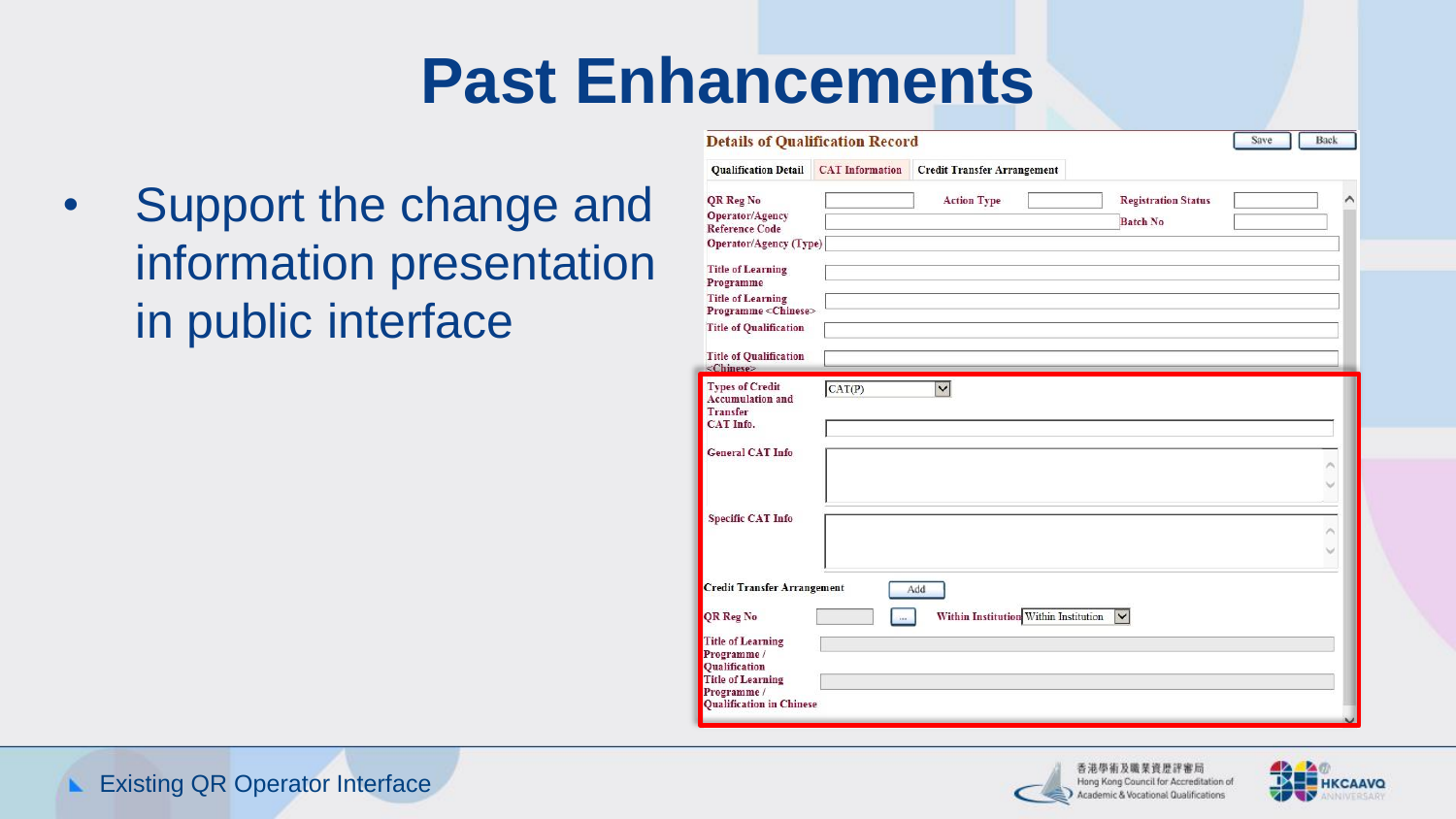## **Past Enhancements**

• Support the change and information presentation in public interface

| <b>Qualification Detail</b>                               | <b>CAT</b> Information | <b>Credit Transfer Arrangement</b>    |                            |  |
|-----------------------------------------------------------|------------------------|---------------------------------------|----------------------------|--|
| QR Reg No                                                 |                        | <b>Action Type</b>                    | <b>Registration Status</b> |  |
| Operator/Agency                                           |                        |                                       |                            |  |
| <b>Reference Code</b>                                     |                        |                                       | <b>Batch No</b>            |  |
| Operator/Agency (Type)                                    |                        |                                       |                            |  |
| <b>Title of Learning</b>                                  |                        |                                       |                            |  |
| Programme                                                 |                        |                                       |                            |  |
| <b>Title of Learning</b><br>Programme <chinese></chinese> |                        |                                       |                            |  |
| <b>Title of Qualification</b>                             |                        |                                       |                            |  |
|                                                           |                        |                                       |                            |  |
| <b>Title of Qualification</b><br>$\langle Chinese\rangle$ |                        |                                       |                            |  |
|                                                           |                        |                                       |                            |  |
|                                                           |                        |                                       |                            |  |
| <b>General CAT Info</b><br><b>Specific CAT Info</b>       |                        |                                       |                            |  |
|                                                           |                        |                                       |                            |  |
|                                                           |                        |                                       |                            |  |
| <b>Credit Transfer Arrangement</b>                        |                        | Add                                   |                            |  |
| QR Reg No                                                 | ins.                   | Within Institution Within Institution | $\overline{\mathbf{v}}$    |  |
|                                                           |                        |                                       |                            |  |
| <b>Title of Learning</b><br>Programme /                   |                        |                                       |                            |  |
| Qualification<br><b>Title of Learning</b>                 |                        |                                       |                            |  |



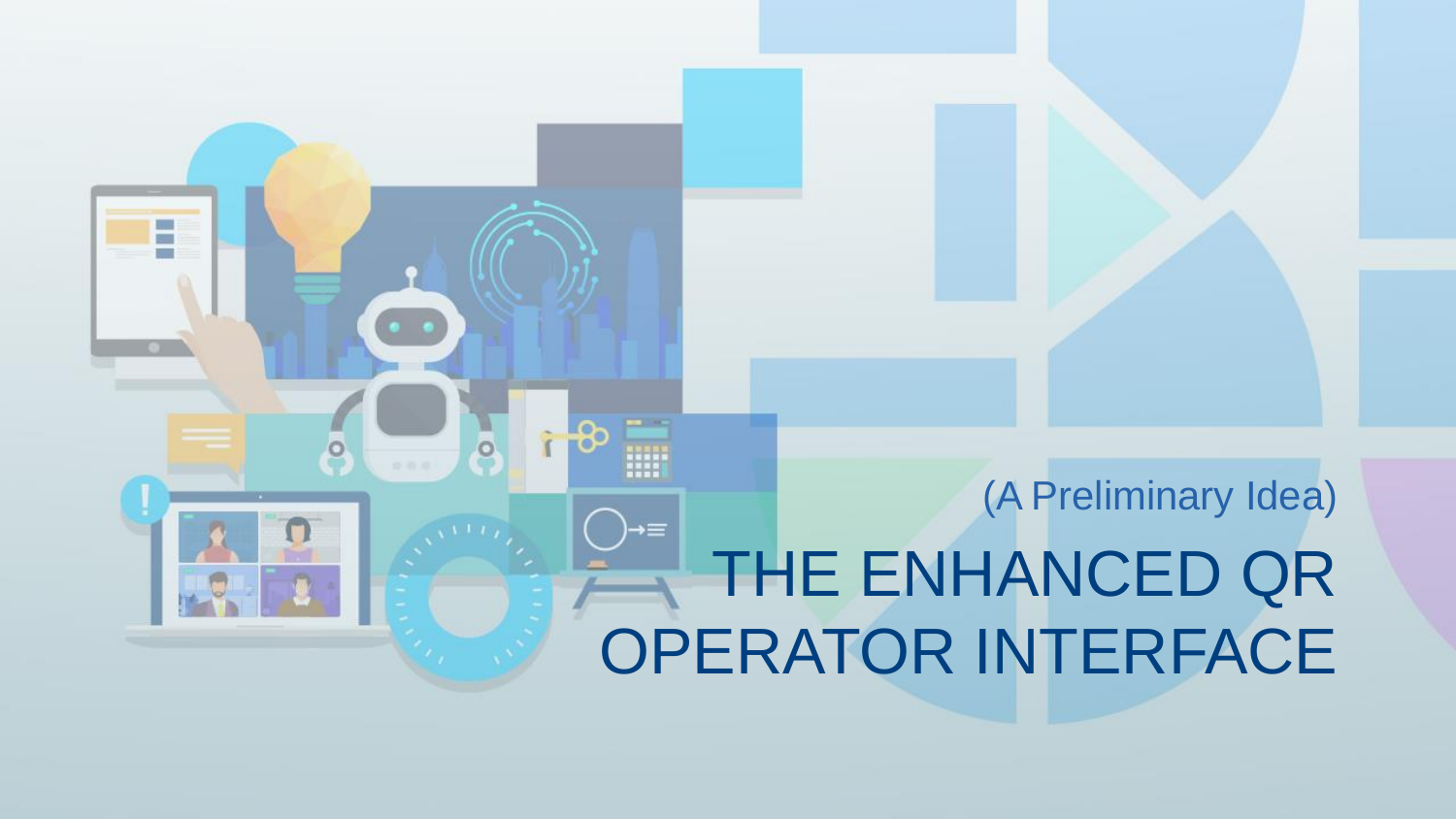#### (A Preliminary Idea)→≡ THE ENHANCED QR OPERATOR INTERFACE

 $\circ$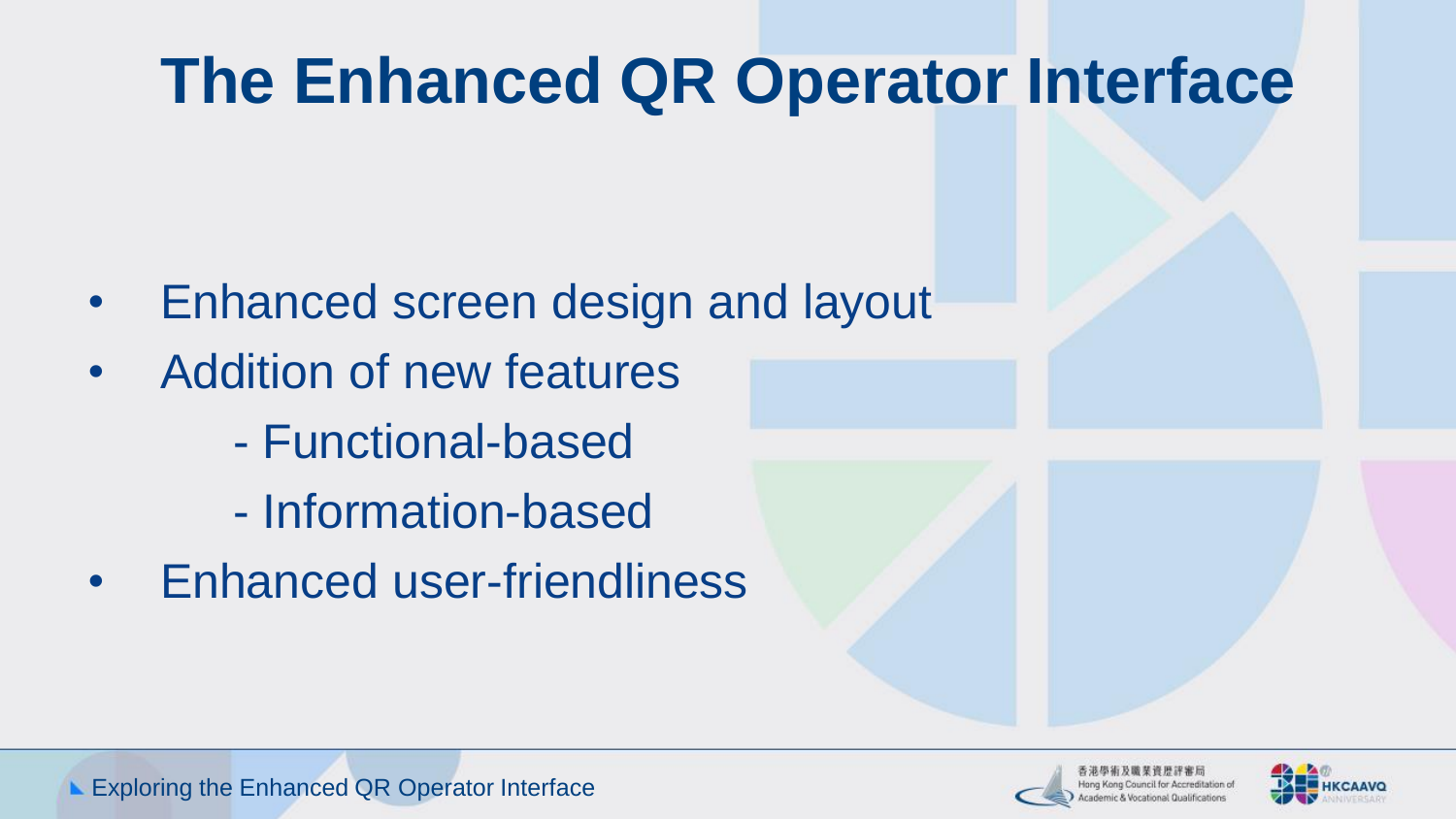# **The Enhanced QR Operator Interface**

- Enhanced screen design and layout
- Addition of new features
	- Functional-based
	- Information-based
- Enhanced user-friendliness



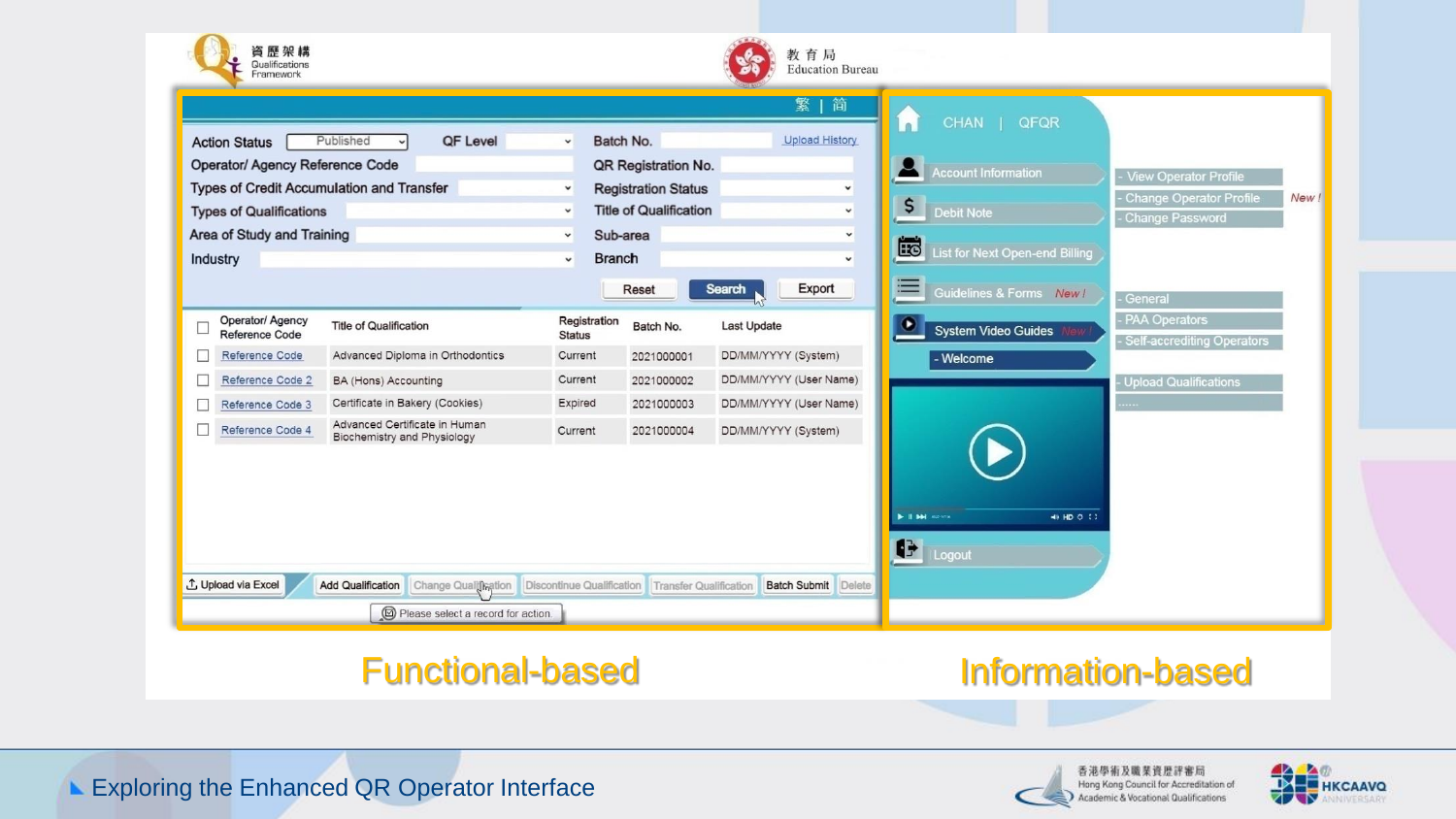

#### Functional-based Information-based



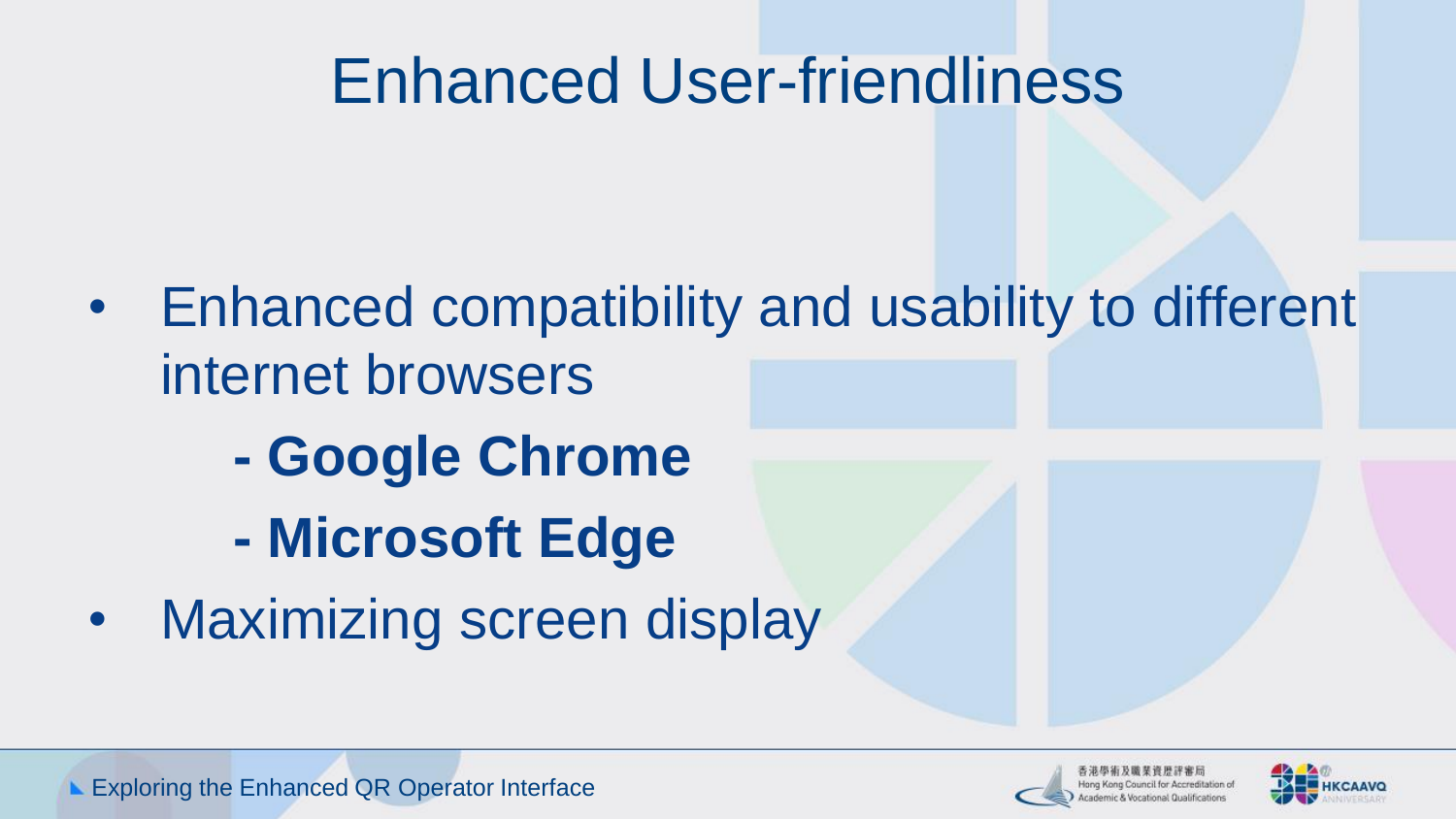## Enhanced User-friendliness

- Enhanced compatibility and usability to different internet browsers
	- **- Google Chrome**
	- **- Microsoft Edge**
- Maximizing screen display



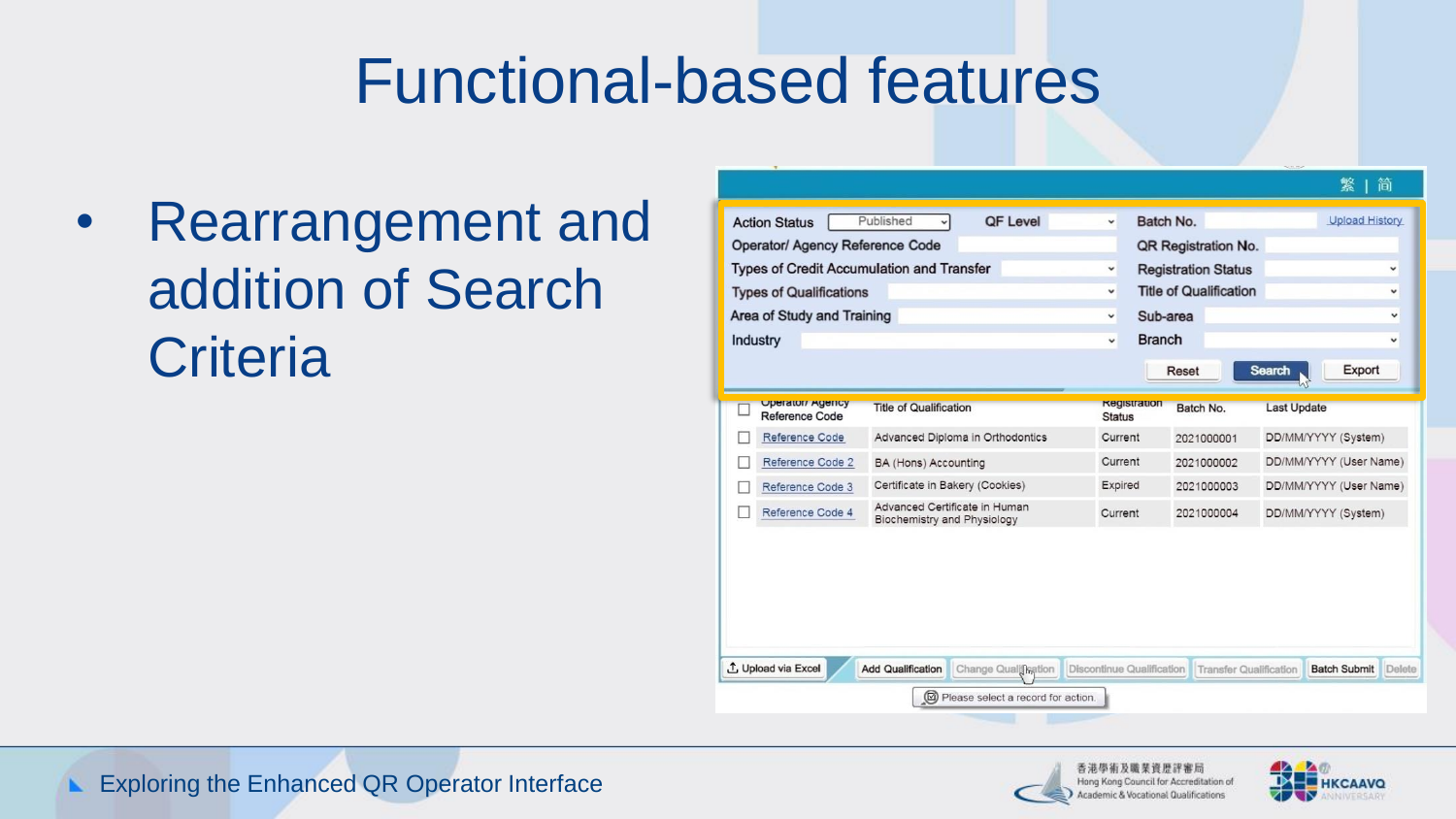#### Functional-based features

• Rearrangement and addition of Search **Criteria** 

| <b>Action Status</b><br><b>Operator/ Agency Reference Code</b><br><b>Types of Credit Accumulation and Transfer</b> | Published                                                    | <b>QF Level</b>      | v<br>$\checkmark$                    | Batch No.<br>QR Registration No.<br><b>Registration Status</b> | <b>Upload History</b><br>v              |
|--------------------------------------------------------------------------------------------------------------------|--------------------------------------------------------------|----------------------|--------------------------------------|----------------------------------------------------------------|-----------------------------------------|
| <b>Types of Qualifications</b><br>Area of Study and Training                                                       |                                                              |                      | $\checkmark$<br>v                    | <b>Title of Qualification</b><br>Sub-area                      | $\checkmark$<br>v                       |
| <b>Industry</b>                                                                                                    |                                                              |                      | $\checkmark$                         | <b>Branch</b><br>Reset                                         | $\checkmark$<br>Export<br><b>Search</b> |
| <b>Uperator/ Agency</b><br>Reference Code                                                                          | <b>Title of Qualification</b>                                |                      | <b>Registration</b><br><b>Status</b> | Batch No.                                                      | <b>Last Update</b>                      |
| Reference Code                                                                                                     | Advanced Diploma in Orthodontics                             |                      | Current                              | 2021000001                                                     | DD/MM/YYYY (System)                     |
| Reference Code 2                                                                                                   | BA (Hons) Accounting                                         |                      | Current                              | 2021000002                                                     | DD/MM/YYYY (User Name)                  |
| Reference Code 3                                                                                                   | Certificate in Bakery (Cookies)                              |                      | Expired                              | 2021000003                                                     | DD/MM/YYYY (User Name)                  |
| Reference Code 4                                                                                                   | Advanced Certificate in Human<br>Biochemistry and Physiology |                      | Current                              | 2021000004                                                     | DD/MM/YYYY (System)                     |
| 1 Upload via Excel<br><b>Add Qualification</b>                                                                     |                                                              | Change Qualification | Discontinue Qualification            | <b>Transfer Qualification</b>                                  | <b>Batch Submit</b>                     |



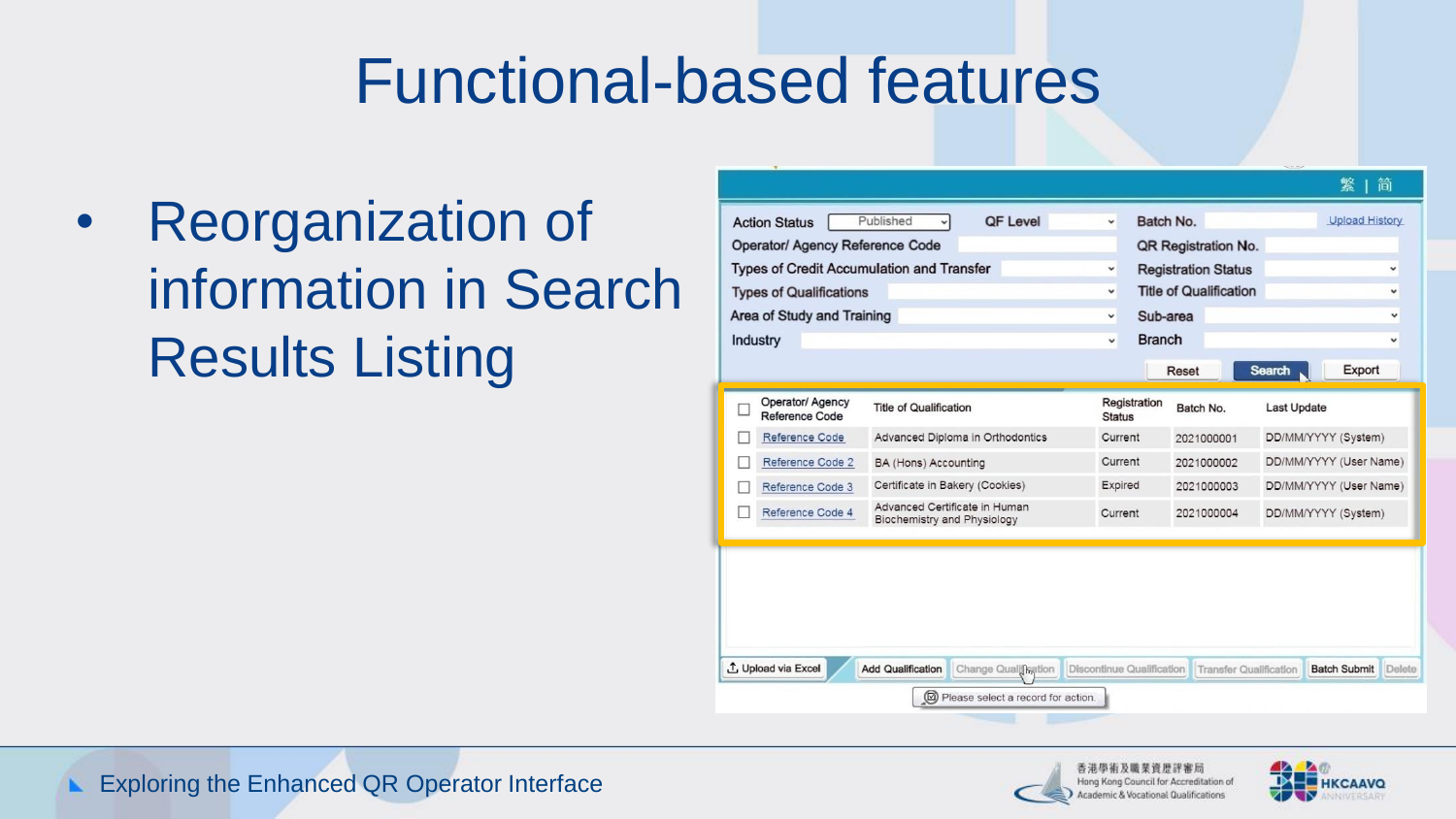#### Functional-based features

• Reorganization of information in Search Results Listing

| <b>Action Status</b>                             | Published                                                           | <b>QF Level</b>                  | v             | Batch No.     |                                                    |                    | <b>Upload History</b>      |   |
|--------------------------------------------------|---------------------------------------------------------------------|----------------------------------|---------------|---------------|----------------------------------------------------|--------------------|----------------------------|---|
| <b>Operator/ Agency Reference Code</b>           |                                                                     |                                  |               |               | QR Registration No.                                |                    |                            |   |
| <b>Types of Credit Accumulation and Transfer</b> |                                                                     |                                  | v             |               | <b>Registration Status</b>                         |                    |                            | v |
| <b>Types of Qualifications</b>                   |                                                                     |                                  | v             |               | <b>Title of Qualification</b>                      |                    |                            |   |
| Area of Study and Training                       |                                                                     |                                  | $\check{~}$   | Sub-area      |                                                    |                    |                            |   |
| <b>Industry</b>                                  |                                                                     |                                  | $\checkmark$  | <b>Branch</b> |                                                    |                    |                            | v |
|                                                  |                                                                     |                                  |               |               | Reset                                              | <b>Search</b>      | Export                     |   |
|                                                  |                                                                     |                                  |               |               |                                                    |                    |                            |   |
| Operator/ Agency<br>Reference Code               | <b>Title of Qualification</b>                                       |                                  | <b>Status</b> | Registration  | Batch No.                                          | <b>Last Update</b> |                            |   |
| Reference Code                                   |                                                                     | Advanced Diploma in Orthodontics | Current       |               | 2021000001                                         |                    | DD/MM/YYYY (System)        |   |
| Reference Code 2                                 | BA (Hons) Accounting                                                |                                  | Current       |               | 2021000002                                         |                    | DD/MM/YYYY (User Name)     |   |
| Reference Code 3                                 | Certificate in Bakery (Cookies)                                     |                                  | Expired       |               | 2021000003                                         |                    | DD/MM/YYYY (User Name)     |   |
| Reference Code 4                                 | Advanced Certificate in Human<br><b>Biochemistry and Physiology</b> |                                  | Current       |               | 2021000004                                         |                    | DD/MM/YYYY (System)        |   |
|                                                  |                                                                     |                                  |               |               |                                                    |                    |                            |   |
|                                                  |                                                                     |                                  |               |               |                                                    |                    |                            |   |
|                                                  |                                                                     |                                  |               |               |                                                    |                    |                            |   |
|                                                  |                                                                     |                                  |               |               |                                                    |                    |                            |   |
|                                                  |                                                                     |                                  |               |               |                                                    |                    |                            |   |
|                                                  |                                                                     |                                  |               |               |                                                    |                    |                            |   |
| 1 Upload via Excel                               | <b>Add Qualification</b>                                            | Change Qualification             |               |               | Discontinue Qualification   Transfer Qualification |                    | <b>Batch Submit</b> Delete |   |



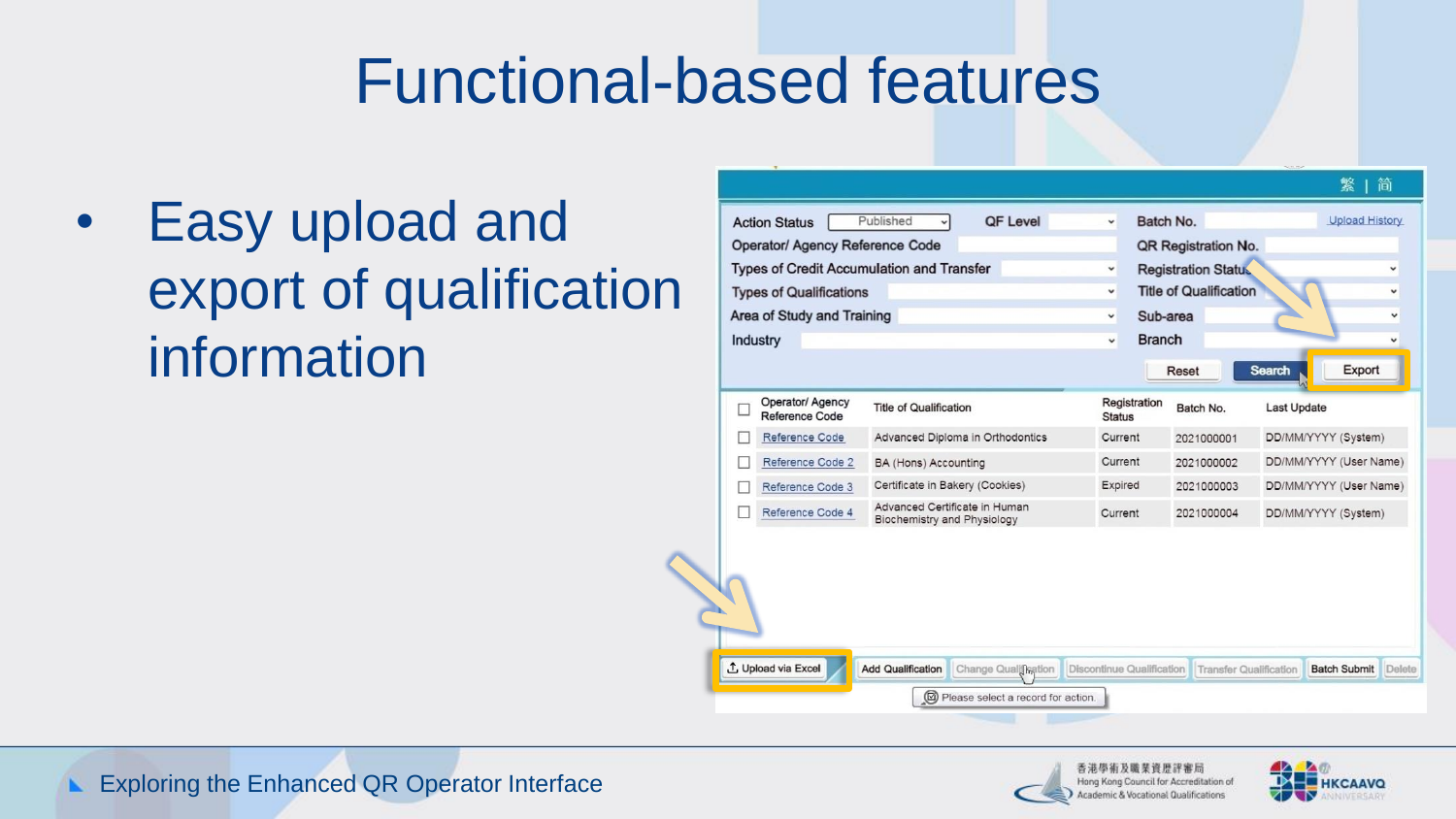#### Functional-based features

• Easy upload and export of qualification information

| <b>Types of Credit Accumulation and Transfer</b><br><b>Types of Qualifications</b><br>Area of Study and Training<br><b>Industry</b> |                                                              | $\check{~}$<br>v<br>$\check{~}$<br>v | Sub-area<br><b>Branch</b> | <b>Registration Status</b><br><b>Title of Qualification</b><br>Reset | <b>Search</b>          | Export |
|-------------------------------------------------------------------------------------------------------------------------------------|--------------------------------------------------------------|--------------------------------------|---------------------------|----------------------------------------------------------------------|------------------------|--------|
| Operator/ Agency<br>□<br>Reference Code                                                                                             | <b>Title of Qualification</b>                                | <b>Status</b>                        | Registration              | Batch No.                                                            | <b>Last Update</b>     |        |
| Reference Code                                                                                                                      | Advanced Diploma in Orthodontics                             | Current                              |                           | 2021000001                                                           | DD/MM/YYYY (System)    |        |
| Reference Code 2                                                                                                                    | BA (Hons) Accounting                                         | Current                              |                           | 2021000002                                                           | DD/MM/YYYY (User Name) |        |
| Reference Code 3                                                                                                                    | Certificate in Bakery (Cookies)                              | Expired                              |                           | 2021000003                                                           | DD/MM/YYYY (User Name) |        |
| Reference Code 4<br>п                                                                                                               | Advanced Certificate in Human<br>Biochemistry and Physiology | Current                              |                           | 2021000004                                                           | DD/MM/YYYY (System)    |        |
|                                                                                                                                     |                                                              |                                      |                           |                                                                      |                        |        |



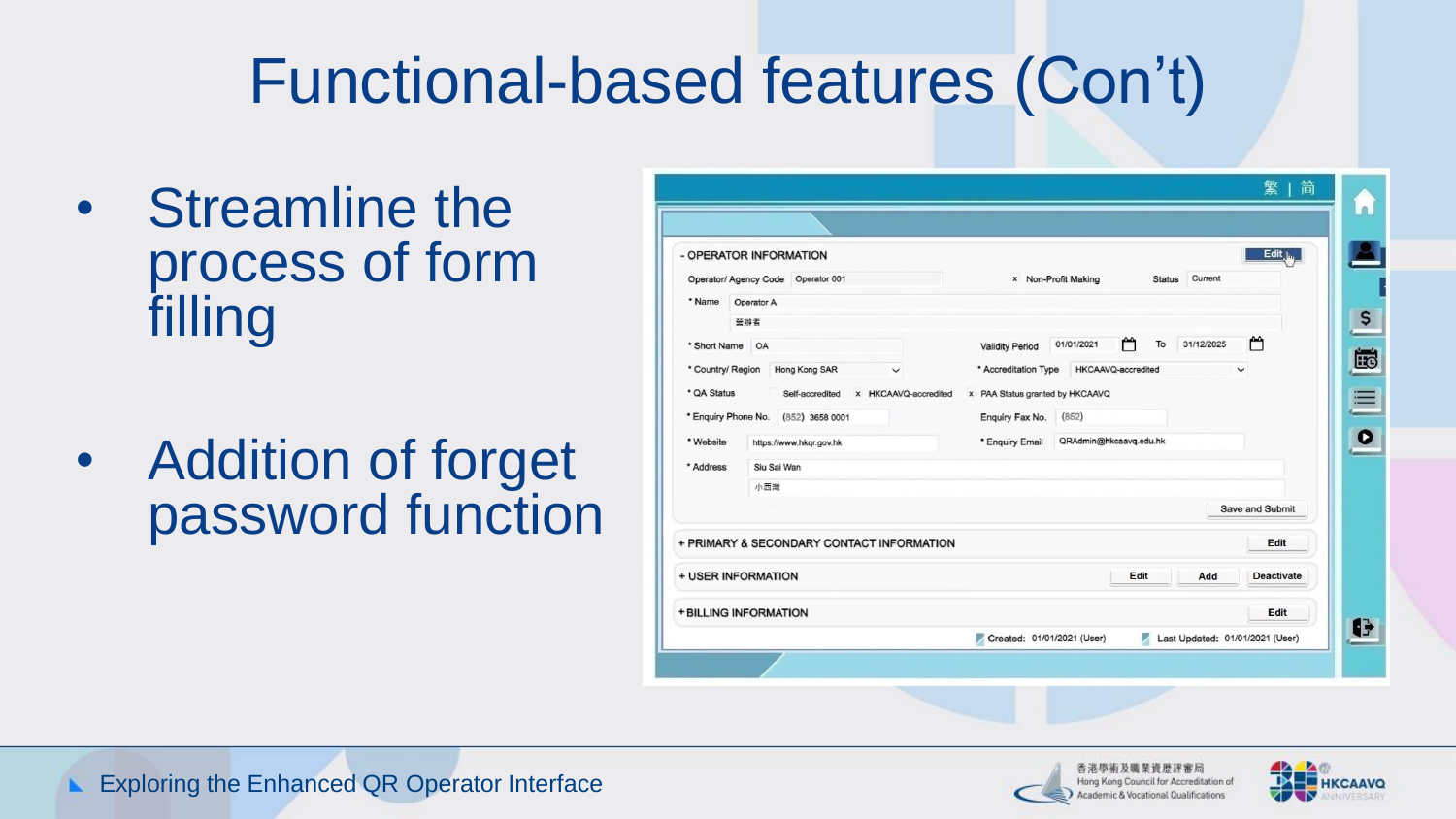# Functional-based features (Con't)

- Streamline the process of form filling
- Addition of forget password function

| - OPERATOR INFORMATION              |             |                                           |                      |                                 |                        |               |            | Edit $\mathbf{L}$               |
|-------------------------------------|-------------|-------------------------------------------|----------------------|---------------------------------|------------------------|---------------|------------|---------------------------------|
| Operator/ Agency Code  Operator 001 |             |                                           |                      |                                 | x Non-Profit Making    | <b>Status</b> | Current    |                                 |
| * Name                              | Operator A  |                                           |                      |                                 |                        |               |            |                                 |
|                                     | 受辦者         |                                           |                      |                                 |                        |               |            |                                 |
| * Short Name                        | OA          |                                           |                      | <b>Validity Period</b>          | 01/01/2021             | ٣<br>To       | 31/12/2025 | ٣                               |
| * Country/ Region                   |             | Hong Kong SAR                             | $\checkmark$         | * Accreditation Type            | HKCAAVQ-accredited     |               |            | $\checkmark$                    |
| * QA Status                         |             | Self-accredited                           | x HKCAAVQ-accredited | x PAA Status granted by HKCAAVQ |                        |               |            |                                 |
| * Enquiry Phone No.                 |             | $(852)$ 3658 0001                         |                      | Enquiry Fax No.                 | (852)                  |               |            |                                 |
| * Website                           |             | https://www.hkqr.gov.hk                   |                      | * Enquiry Email                 | QRAdmin@hkcaavq.edu.hk |               |            |                                 |
| * Address                           | Siu Sai Wan |                                           |                      |                                 |                        |               |            |                                 |
|                                     | 小西灣         |                                           |                      |                                 |                        |               |            |                                 |
|                                     |             |                                           |                      |                                 |                        |               |            | Save and Submit                 |
|                                     |             | + PRIMARY & SECONDARY CONTACT INFORMATION |                      |                                 |                        |               |            | Edit                            |
| + USER INFORMATION                  |             |                                           |                      |                                 |                        | Edit          | Add        | <b>Deactivate</b>               |
| + BILLING INFORMATION               |             |                                           |                      |                                 |                        |               |            | Edit                            |
|                                     |             |                                           |                      | Created: 01/01/2021 (User)      |                        | z             |            | Last Updated: 01/01/2021 (User) |



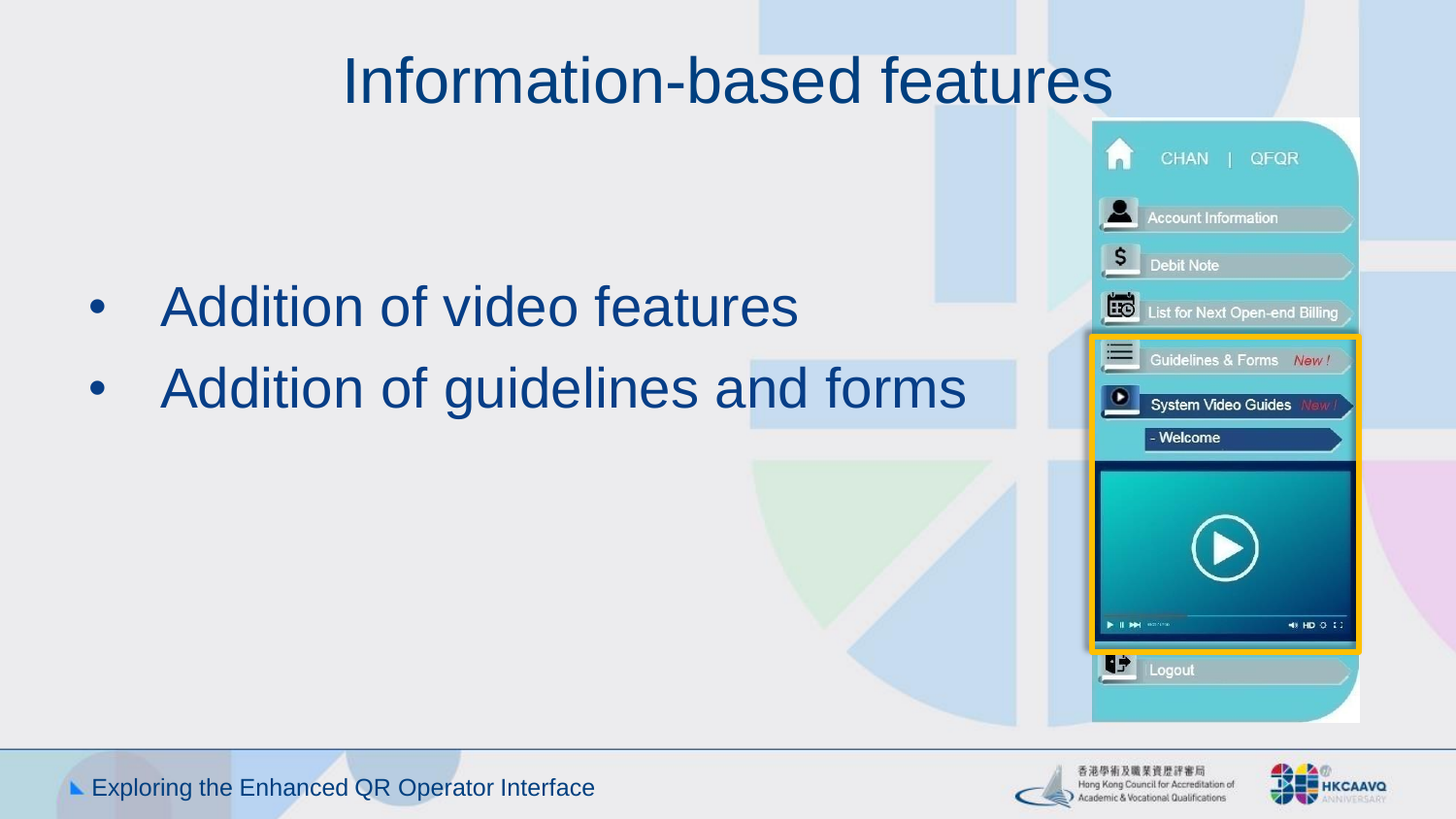#### Information-based features

- Addition of video features
- Addition of guidelines and forms





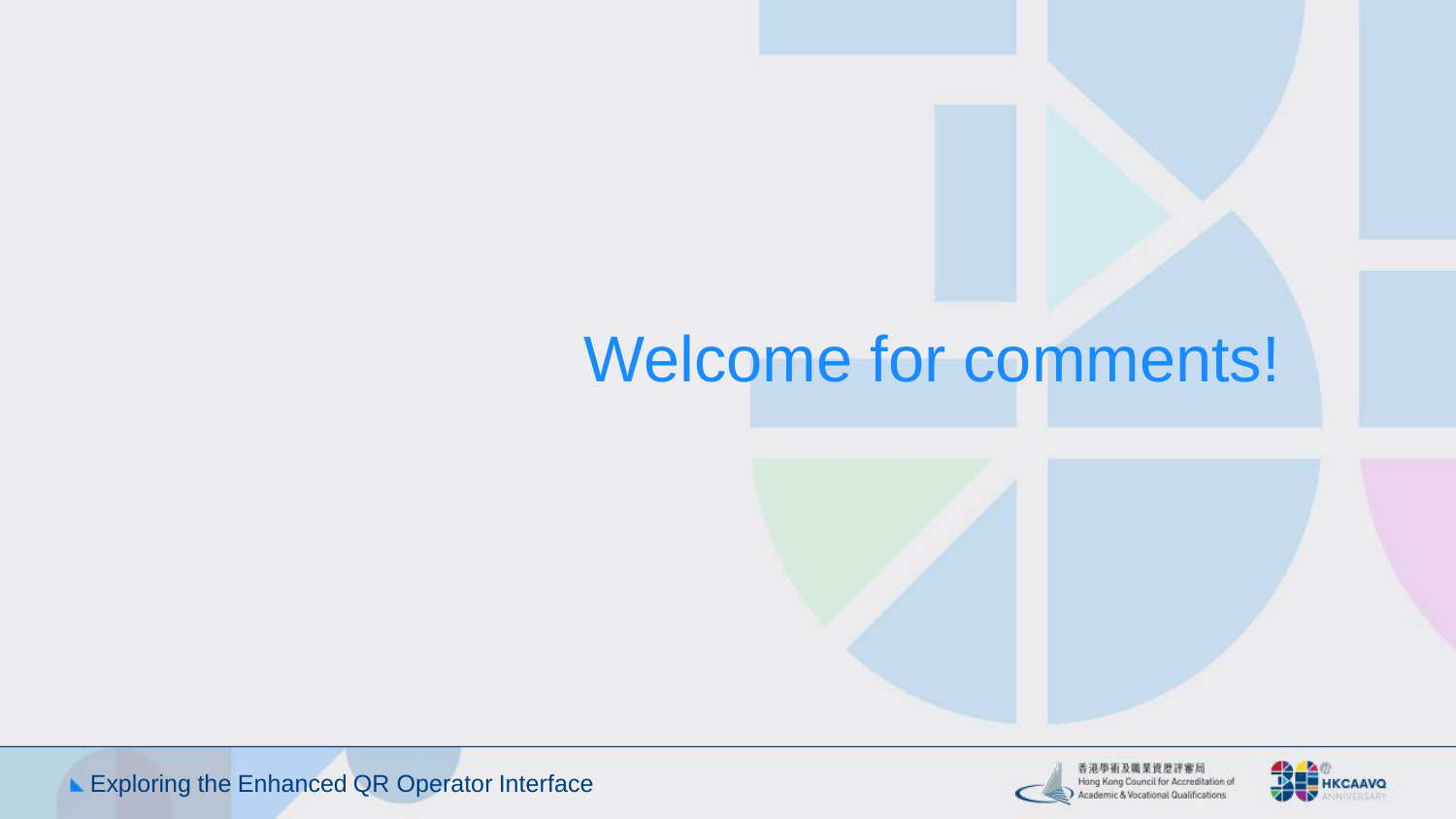#### Welcome for comments!